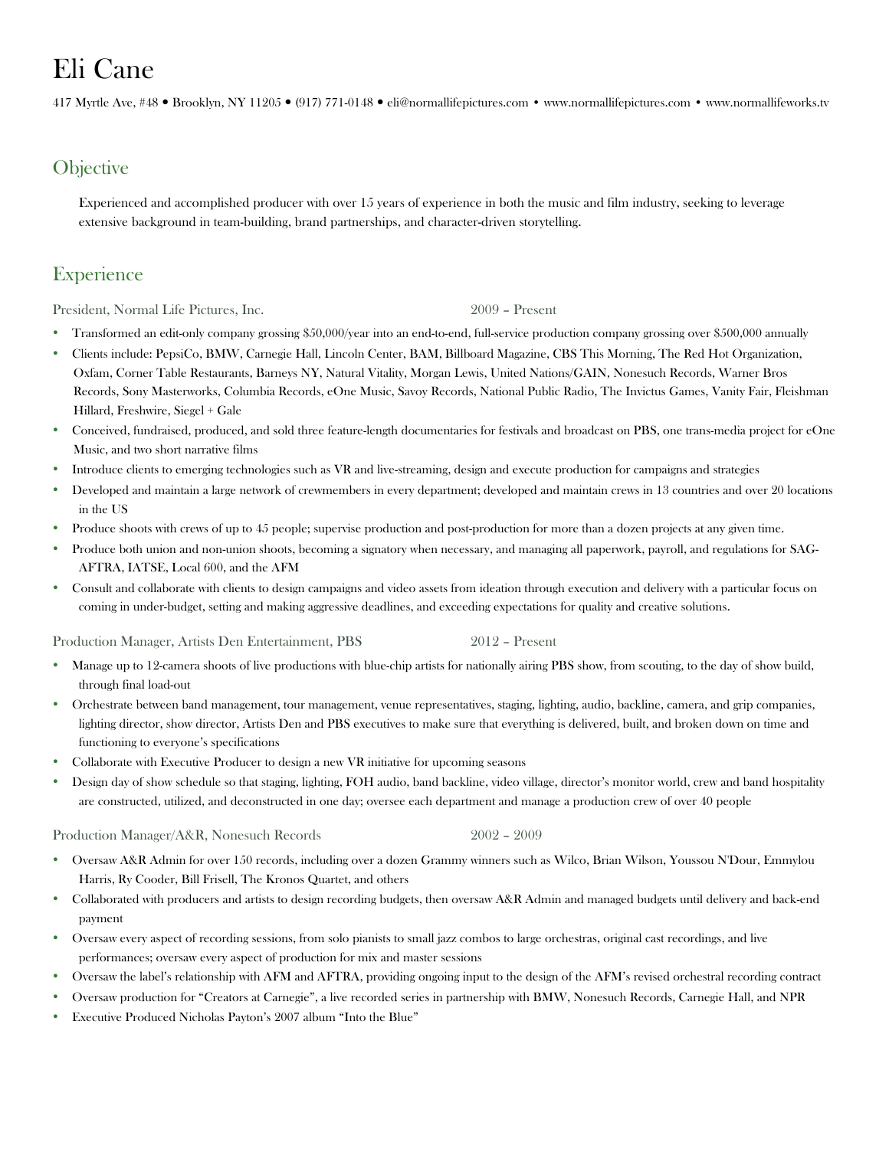# Eli Cane

417 Myrtle Ave, #48 Brooklyn, NY 11205 (917) 771-0148 eli@normallifepictures.com • www.normallifepictures.com • www.normallifeworks.tv

### **Objective**

Experienced and accomplished producer with over 15 years of experience in both the music and film industry, seeking to leverage extensive background in team-building, brand partnerships, and character-driven storytelling.

## **Experience**

President, Normal Life Pictures, Inc. 2009 – Present

- Transformed an edit-only company grossing \$50,000/year into an end-to-end, full-service production company grossing over \$500,000 annually
- Clients include: PepsiCo, BMW, Carnegie Hall, Lincoln Center, BAM, Billboard Magazine, CBS This Morning, The Red Hot Organization, Oxfam, Corner Table Restaurants, Barneys NY, Natural Vitality, Morgan Lewis, United Nations/GAIN, Nonesuch Records, Warner Bros Records, Sony Masterworks, Columbia Records, eOne Music, Savoy Records, National Public Radio, The Invictus Games, Vanity Fair, Fleishman Hillard, Freshwire, Siegel + Gale
- Conceived, fundraised, produced, and sold three feature-length documentaries for festivals and broadcast on PBS, one trans-media project for eOne Music, and two short narrative films
- Introduce clients to emerging technologies such as VR and live-streaming, design and execute production for campaigns and strategies
- Developed and maintain a large network of crewmembers in every department; developed and maintain crews in 13 countries and over 20 locations in the US
- Produce shoots with crews of up to 45 people; supervise production and post-production for more than a dozen projects at any given time.
- Produce both union and non-union shoots, becoming a signatory when necessary, and managing all paperwork, payroll, and regulations for SAG-AFTRA, IATSE, Local 600, and the AFM
- Consult and collaborate with clients to design campaigns and video assets from ideation through execution and delivery with a particular focus on coming in under-budget, setting and making aggressive deadlines, and exceeding expectations for quality and creative solutions.

Production Manager, Artists Den Entertainment, PBS 2012 – Present

- Manage up to 12-camera shoots of live productions with blue-chip artists for nationally airing PBS show, from scouting, to the day of show build, through final load-out
- Orchestrate between band management, tour management, venue representatives, staging, lighting, audio, backline, camera, and grip companies, lighting director, show director, Artists Den and PBS executives to make sure that everything is delivered, built, and broken down on time and functioning to everyone's specifications
- Collaborate with Executive Producer to design a new VR initiative for upcoming seasons
- Design day of show schedule so that staging, lighting, FOH audio, band backline, video village, director's monitor world, crew and band hospitality are constructed, utilized, and deconstructed in one day; oversee each department and manage a production crew of over 40 people

Production Manager/A&R, Nonesuch Records 2002 – 2009

- Oversaw A&R Admin for over 150 records, including over a dozen Grammy winners such as Wilco, Brian Wilson, Youssou N'Dour, Emmylou Harris, Ry Cooder, Bill Frisell, The Kronos Quartet, and others
- Collaborated with producers and artists to design recording budgets, then oversaw A&R Admin and managed budgets until delivery and back-end payment
- Oversaw every aspect of recording sessions, from solo pianists to small jazz combos to large orchestras, original cast recordings, and live performances; oversaw every aspect of production for mix and master sessions
- Oversaw the label's relationship with AFM and AFTRA, providing ongoing input to the design of the AFM's revised orchestral recording contract
- Oversaw production for "Creators at Carnegie", a live recorded series in partnership with BMW, Nonesuch Records, Carnegie Hall, and NPR
- Executive Produced Nicholas Payton's 2007 album "Into the Blue"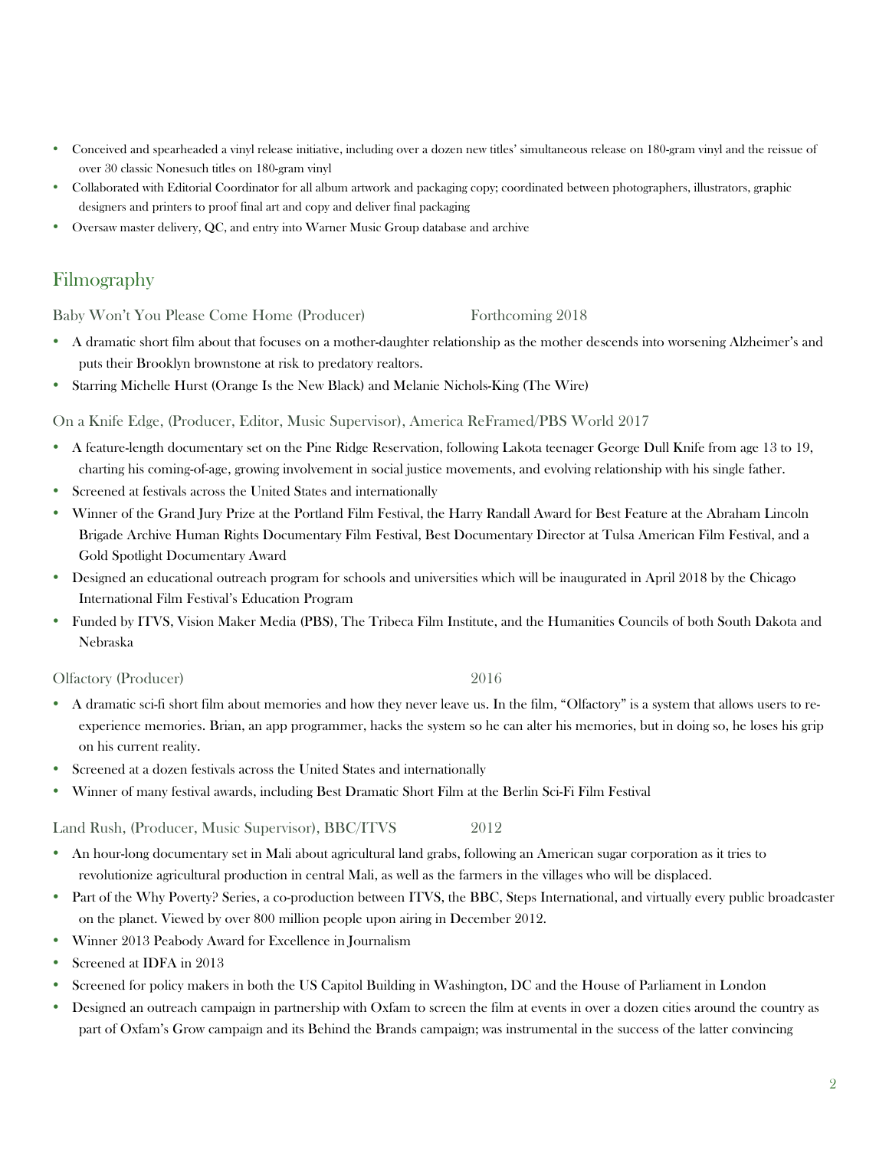- Conceived and spearheaded a vinyl release initiative, including over a dozen new titles' simultaneous release on 180-gram vinyl and the reissue of over 30 classic Nonesuch titles on 180-gram vinyl
- Collaborated with Editorial Coordinator for all album artwork and packaging copy; coordinated between photographers, illustrators, graphic designers and printers to proof final art and copy and deliver final packaging
- Oversaw master delivery, QC, and entry into Warner Music Group database and archive

# Filmography

Baby Won't You Please Come Home (Producer) Forthcoming 2018

- A dramatic short film about that focuses on a mother-daughter relationship as the mother descends into worsening Alzheimer's and puts their Brooklyn brownstone at risk to predatory realtors.
- Starring Michelle Hurst (Orange Is the New Black) and Melanie Nichols-King (The Wire)

On a Knife Edge, (Producer, Editor, Music Supervisor), America ReFramed/PBS World 2017

- A feature-length documentary set on the Pine Ridge Reservation, following Lakota teenager George Dull Knife from age 13 to 19, charting his coming-of-age, growing involvement in social justice movements, and evolving relationship with his single father.
- Screened at festivals across the United States and internationally
- Winner of the Grand Jury Prize at the Portland Film Festival, the Harry Randall Award for Best Feature at the Abraham Lincoln Brigade Archive Human Rights Documentary Film Festival, Best Documentary Director at Tulsa American Film Festival, and a Gold Spotlight Documentary Award
- Designed an educational outreach program for schools and universities which will be inaugurated in April 2018 by the Chicago International Film Festival's Education Program
- Funded by ITVS, Vision Maker Media (PBS), The Tribeca Film Institute, and the Humanities Councils of both South Dakota and Nebraska

Olfactory (Producer) 2016

- A dramatic sci-fi short film about memories and how they never leave us. In the film, "Olfactory" is a system that allows users to reexperience memories. Brian, an app programmer, hacks the system so he can alter his memories, but in doing so, he loses his grip on his current reality.
- Screened at a dozen festivals across the United States and internationally
- Winner of many festival awards, including Best Dramatic Short Film at the Berlin Sci-Fi Film Festival

Land Rush, (Producer, Music Supervisor), BBC/ITVS 2012

- An hour-long documentary set in Mali about agricultural land grabs, following an American sugar corporation as it tries to revolutionize agricultural production in central Mali, as well as the farmers in the villages who will be displaced.
- Part of the Why Poverty? Series, a co-production between ITVS, the BBC, Steps International, and virtually every public broadcaster on the planet. Viewed by over 800 million people upon airing in December 2012.
- Winner 2013 Peabody Award for Excellence in Journalism
- Screened at IDFA in 2013
- Screened for policy makers in both the US Capitol Building in Washington, DC and the House of Parliament in London
- Designed an outreach campaign in partnership with Oxfam to screen the film at events in over a dozen cities around the country as part of Oxfam's Grow campaign and its Behind the Brands campaign; was instrumental in the success of the latter convincing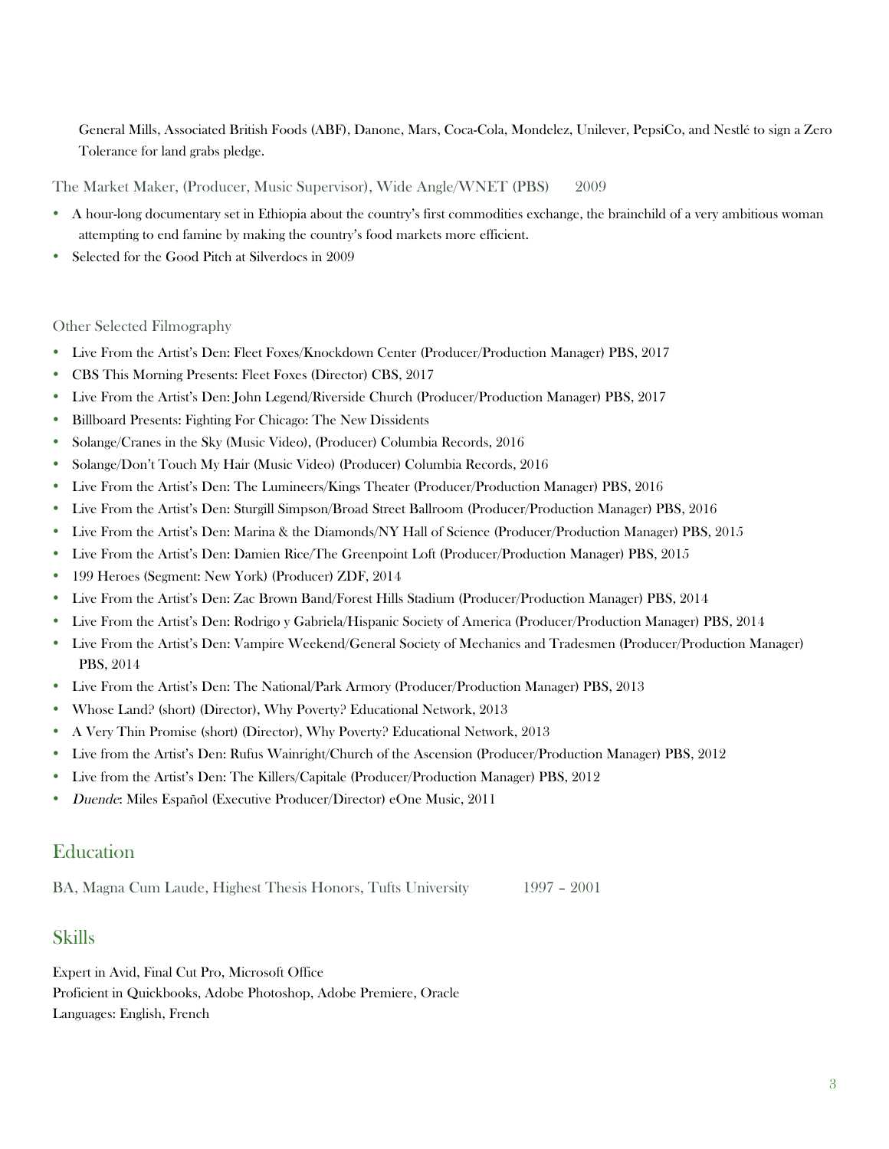General Mills, Associated British Foods (ABF), Danone, Mars, Coca-Cola, Mondelez, Unilever, PepsiCo, and Nestlé to sign a Zero Tolerance for land grabs pledge.

The Market Maker, (Producer, Music Supervisor), Wide Angle/WNET (PBS) 2009

- A hour-long documentary set in Ethiopia about the country's first commodities exchange, the brainchild of a very ambitious woman attempting to end famine by making the country's food markets more efficient.
- Selected for the Good Pitch at Silverdocs in 2009

### Other Selected Filmography

- Live From the Artist's Den: Fleet Foxes/Knockdown Center (Producer/Production Manager) PBS, 2017
- CBS This Morning Presents: Fleet Foxes (Director) CBS, 2017
- Live From the Artist's Den: John Legend/Riverside Church (Producer/Production Manager) PBS, 2017
- Billboard Presents: Fighting For Chicago: The New Dissidents
- Solange/Cranes in the Sky (Music Video), (Producer) Columbia Records, 2016
- Solange/Don't Touch My Hair (Music Video) (Producer) Columbia Records, 2016
- Live From the Artist's Den: The Lumineers/Kings Theater (Producer/Production Manager) PBS, 2016
- Live From the Artist's Den: Sturgill Simpson/Broad Street Ballroom (Producer/Production Manager) PBS, 2016
- Live From the Artist's Den: Marina & the Diamonds/NY Hall of Science (Producer/Production Manager) PBS, 2015
- Live From the Artist's Den: Damien Rice/The Greenpoint Loft (Producer/Production Manager) PBS, 2015
- 199 Heroes (Segment: New York) (Producer) ZDF, 2014
- Live From the Artist's Den: Zac Brown Band/Forest Hills Stadium (Producer/Production Manager) PBS, 2014
- Live From the Artist's Den: Rodrigo y Gabriela/Hispanic Society of America (Producer/Production Manager) PBS, 2014
- Live From the Artist's Den: Vampire Weekend/General Society of Mechanics and Tradesmen (Producer/Production Manager) PBS, 2014
- Live From the Artist's Den: The National/Park Armory (Producer/Production Manager) PBS, 2013
- Whose Land? (short) (Director), Why Poverty? Educational Network, 2013
- A Very Thin Promise (short) (Director), Why Poverty? Educational Network, 2013
- Live from the Artist's Den: Rufus Wainright/Church of the Ascension (Producer/Production Manager) PBS, 2012
- Live from the Artist's Den: The Killers/Capitale (Producer/Production Manager) PBS, 2012
- Duende: Miles Español (Executive Producer/Director) eOne Music, 2011

### **Education**

BA, Magna Cum Laude, Highest Thesis Honors, Tufts University 1997 – 2001

### Skills

Expert in Avid, Final Cut Pro, Microsoft Office Proficient in Quickbooks, Adobe Photoshop, Adobe Premiere, Oracle Languages: English, French